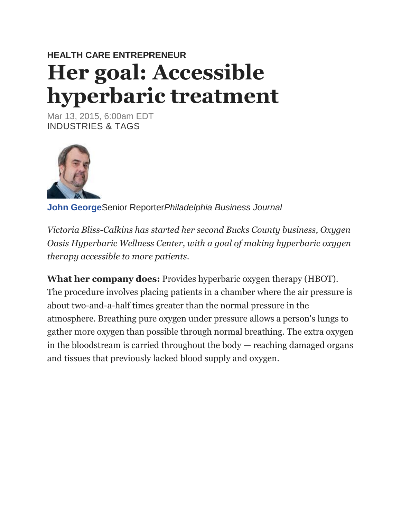# **HEALTH CARE ENTREPRENEUR Her goal: Accessible hyperbaric treatment**

Mar 13, 2015, 6:00am EDT INDUSTRIES & TAGS



**[John George](http://www.bizjournals.com/philadelphia/bio/6321/John+George)**Senior Reporter*Philadelphia Business Journal*

*Victoria Bliss-Calkins has started her second Bucks County business, Oxygen Oasis Hyperbaric Wellness Center, with a goal of making hyperbaric oxygen therapy accessible to more patients.*

**What her company does:** Provides hyperbaric oxygen therapy (HBOT). The procedure involves placing patients in a chamber where the air pressure is about two-and-a-half times greater than the normal pressure in the atmosphere. Breathing pure oxygen under pressure allows a person's lungs to gather more oxygen than possible through normal breathing. The extra oxygen in the bloodstream is carried throughout the body — reaching damaged organs and tissues that previously lacked blood supply and oxygen.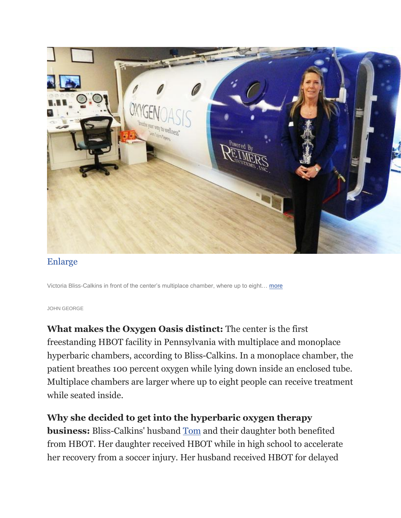

### [Enlarge](http://www.bizjournals.com/philadelphia/print-edition/2015/03/13/her-goal-accessible-hyperbaric-treatment.html?surround=etf#i1)

Victoria Bliss-Calkins in front of the center's multiplace chamber, where up to eight… [more](http://www.bizjournals.com/philadelphia/print-edition/2015/03/13/her-goal-accessible-hyperbaric-treatment.html?surround=etf#i1)

#### JOHN GEORGE

**What makes the Oxygen Oasis distinct:** The center is the first freestanding HBOT facility in Pennsylvania with multiplace and monoplace hyperbaric chambers, according to Bliss-Calkins. In a monoplace chamber, the patient breathes 100 percent oxygen while lying down inside an enclosed tube. Multiplace chambers are larger where up to eight people can receive treatment while seated inside.

#### **Why she decided to get into the hyperbaric oxygen therapy**

**business:** Bliss-Calkins' husband [Tom](http://www.bizjournals.com/philadelphia/search/results?q=Tom) and their daughter both benefited from HBOT. Her daughter received HBOT while in high school to accelerate her recovery from a soccer injury. Her husband received HBOT for delayed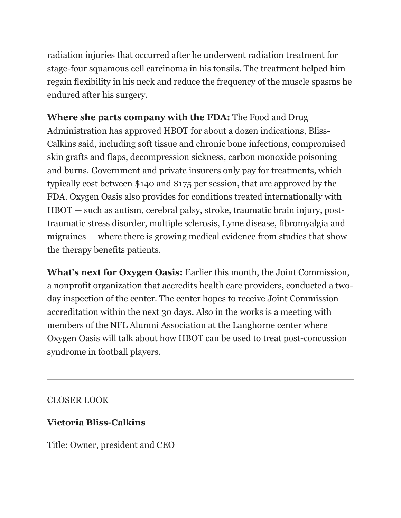radiation injuries that occurred after he underwent radiation treatment for stage-four squamous cell carcinoma in his tonsils. The treatment helped him regain flexibility in his neck and reduce the frequency of the muscle spasms he endured after his surgery.

**Where she parts company with the FDA:** The Food and Drug Administration has approved HBOT for about a dozen indications, Bliss-Calkins said, including soft tissue and chronic bone infections, compromised skin grafts and flaps, decompression sickness, carbon monoxide poisoning and burns. Government and private insurers only pay for treatments, which typically cost between \$140 and \$175 per session, that are approved by the FDA. Oxygen Oasis also provides for conditions treated internationally with HBOT — such as autism, cerebral palsy, stroke, traumatic brain injury, posttraumatic stress disorder, multiple sclerosis, Lyme disease, fibromyalgia and migraines — where there is growing medical evidence from studies that show the therapy benefits patients.

**What's next for Oxygen Oasis:** Earlier this month, the Joint Commission, a nonprofit organization that accredits health care providers, conducted a twoday inspection of the center. The center hopes to receive Joint Commission accreditation within the next 30 days. Also in the works is a meeting with members of the NFL Alumni Association at the Langhorne center where Oxygen Oasis will talk about how HBOT can be used to treat post-concussion syndrome in football players.

# CLOSER LOOK

# **Victoria Bliss-Calkins**

Title: Owner, president and CEO